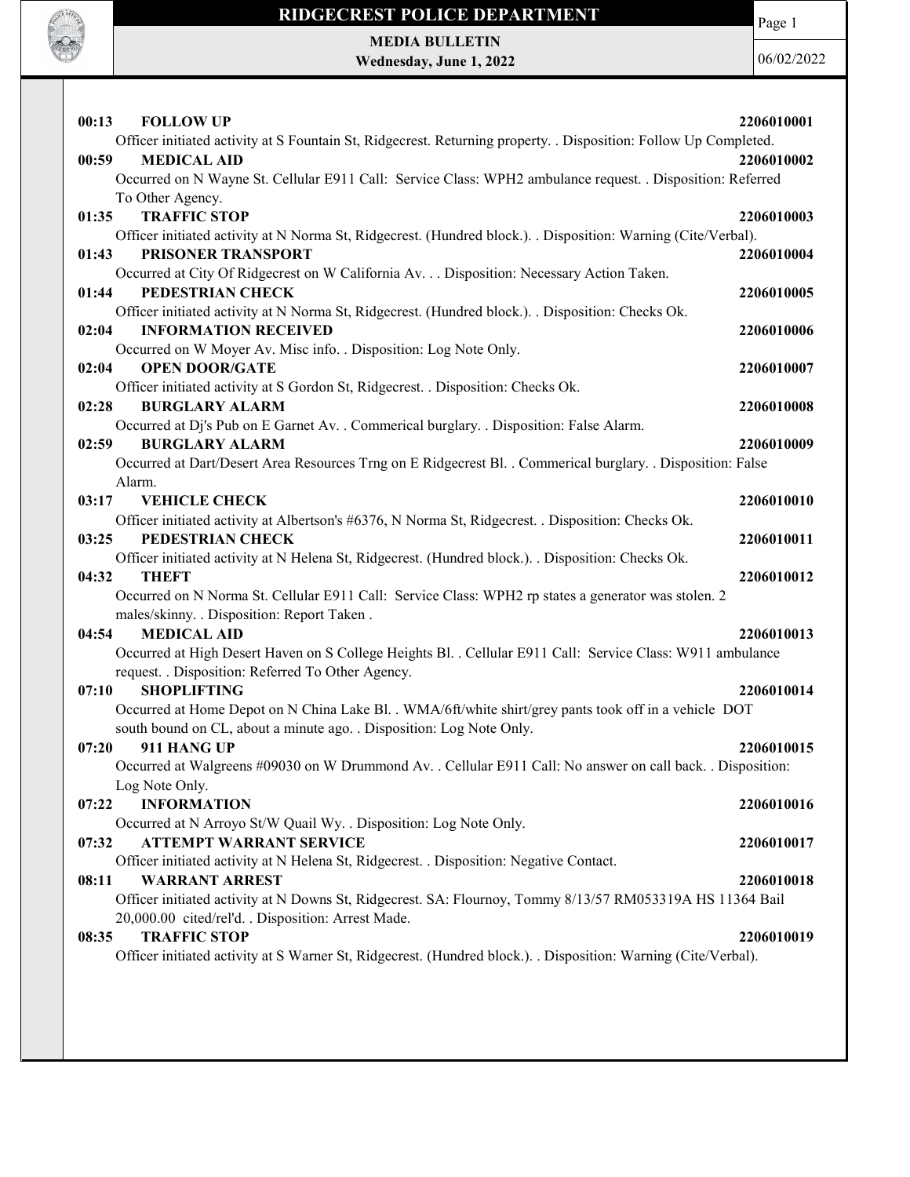

MEDIA BULLETIN

**ROCK OF THE** 

Wednesday, June 1, 2022

|                                                                                                                  | 2206010001 |
|------------------------------------------------------------------------------------------------------------------|------------|
| Officer initiated activity at S Fountain St, Ridgecrest. Returning property. . Disposition: Follow Up Completed. |            |
| <b>MEDICAL AID</b><br>00:59<br>2206010002                                                                        |            |
| Occurred on N Wayne St. Cellular E911 Call: Service Class: WPH2 ambulance request. . Disposition: Referred       |            |
| To Other Agency.                                                                                                 |            |
| <b>TRAFFIC STOP</b><br>01:35<br>2206010003                                                                       |            |
| Officer initiated activity at N Norma St, Ridgecrest. (Hundred block.). . Disposition: Warning (Cite/Verbal).    |            |
| PRISONER TRANSPORT<br>01:43<br>2206010004                                                                        |            |
| Occurred at City Of Ridgecrest on W California Av. Disposition: Necessary Action Taken.                          |            |
| PEDESTRIAN CHECK<br>01:44<br>2206010005                                                                          |            |
| Officer initiated activity at N Norma St, Ridgecrest. (Hundred block.). . Disposition: Checks Ok.                |            |
| <b>INFORMATION RECEIVED</b><br>02:04<br>2206010006                                                               |            |
| Occurred on W Moyer Av. Misc info. . Disposition: Log Note Only.                                                 |            |
| 02:04<br><b>OPEN DOOR/GATE</b><br>2206010007                                                                     |            |
| Officer initiated activity at S Gordon St, Ridgecrest. . Disposition: Checks Ok.                                 |            |
| <b>BURGLARY ALARM</b><br>2206010008<br>02:28                                                                     |            |
| Occurred at Dj's Pub on E Garnet Av. . Commerical burglary. . Disposition: False Alarm.                          |            |
| 02:59<br><b>BURGLARY ALARM</b><br>2206010009                                                                     |            |
| Occurred at Dart/Desert Area Resources Trng on E Ridgecrest Bl. . Commerical burglary. . Disposition: False      |            |
| Alarm.                                                                                                           |            |
| 03:17<br><b>VEHICLE CHECK</b><br>2206010010                                                                      |            |
| Officer initiated activity at Albertson's #6376, N Norma St, Ridgecrest. . Disposition: Checks Ok.               |            |
| 03:25<br>PEDESTRIAN CHECK<br>2206010011                                                                          |            |
| Officer initiated activity at N Helena St, Ridgecrest. (Hundred block.). . Disposition: Checks Ok.               |            |
| 04:32<br><b>THEFT</b><br>2206010012                                                                              |            |
| Occurred on N Norma St. Cellular E911 Call: Service Class: WPH2 rp states a generator was stolen. 2              |            |
| males/skinny. . Disposition: Report Taken.                                                                       |            |
| <b>MEDICAL AID</b><br>04:54<br>2206010013                                                                        |            |
| Occurred at High Desert Haven on S College Heights Bl. . Cellular E911 Call: Service Class: W911 ambulance       |            |
| request. . Disposition: Referred To Other Agency.                                                                |            |
| <b>SHOPLIFTING</b><br>2206010014<br>07:10                                                                        |            |
| Occurred at Home Depot on N China Lake Bl. . WMA/6ft/white shirt/grey pants took off in a vehicle DOT            |            |
| south bound on CL, about a minute ago. . Disposition: Log Note Only.                                             |            |
| 07:20<br>911 HANG UP<br>2206010015                                                                               |            |
| Occurred at Walgreens #09030 on W Drummond Av. . Cellular E911 Call: No answer on call back. . Disposition:      |            |
| Log Note Only.                                                                                                   |            |
| <b>INFORMATION</b><br>2206010016<br>07:22                                                                        |            |
| Occurred at N Arroyo St/W Quail Wy. . Disposition: Log Note Only.                                                |            |
| <b>ATTEMPT WARRANT SERVICE</b><br>07:32<br>2206010017                                                            |            |
| Officer initiated activity at N Helena St, Ridgecrest. . Disposition: Negative Contact.                          |            |
| <b>WARRANT ARREST</b><br>08:11<br>2206010018                                                                     |            |
| Officer initiated activity at N Downs St, Ridgecrest. SA: Flournoy, Tommy 8/13/57 RM053319A HS 11364 Bail        |            |
| 20,000.00 cited/rel'd. . Disposition: Arrest Made.                                                               |            |
| <b>TRAFFIC STOP</b><br>08:35<br>2206010019                                                                       |            |
| Officer initiated activity at S Warner St, Ridgecrest. (Hundred block.). . Disposition: Warning (Cite/Verbal).   |            |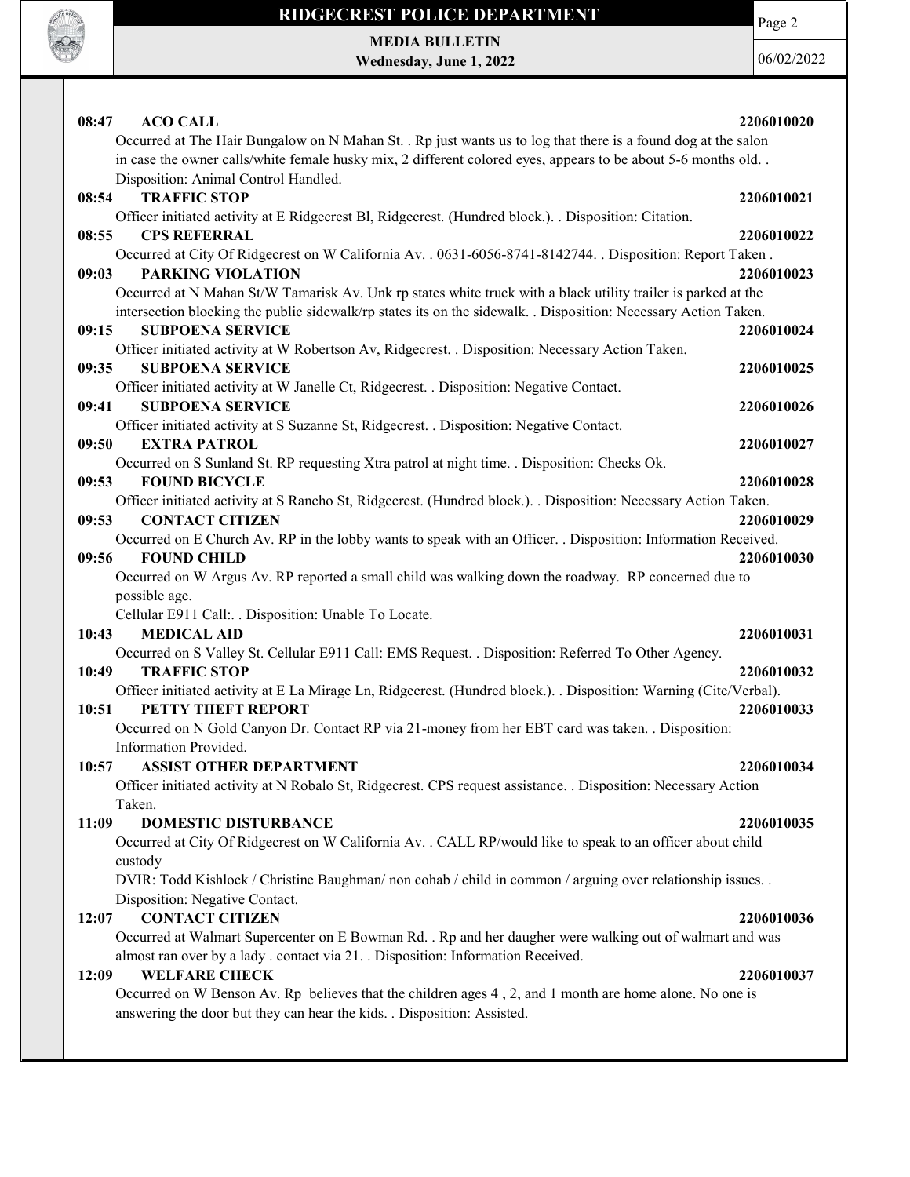

Page 2

MEDIA BULLETIN Wednesday, June 1, 2022

| <b>ACO CALL</b><br>08:47                                                                                                                            | 2206010020 |
|-----------------------------------------------------------------------------------------------------------------------------------------------------|------------|
| Occurred at The Hair Bungalow on N Mahan St. . Rp just wants us to log that there is a found dog at the salon                                       |            |
| in case the owner calls/white female husky mix, 2 different colored eyes, appears to be about 5-6 months old                                        |            |
| Disposition: Animal Control Handled.<br><b>TRAFFIC STOP</b>                                                                                         |            |
| 08:54                                                                                                                                               | 2206010021 |
| Officer initiated activity at E Ridgecrest Bl, Ridgecrest. (Hundred block.). . Disposition: Citation.                                               |            |
| <b>CPS REFERRAL</b><br>08:55                                                                                                                        | 2206010022 |
| Occurred at City Of Ridgecrest on W California Av. . 0631-6056-8741-8142744. . Disposition: Report Taken.                                           |            |
| 09:03<br><b>PARKING VIOLATION</b>                                                                                                                   | 2206010023 |
| Occurred at N Mahan St/W Tamarisk Av. Unk rp states white truck with a black utility trailer is parked at the                                       |            |
| intersection blocking the public sidewalk/rp states its on the sidewalk. . Disposition: Necessary Action Taken.<br><b>SUBPOENA SERVICE</b><br>09:15 | 2206010024 |
|                                                                                                                                                     |            |
| Officer initiated activity at W Robertson Av, Ridgecrest. . Disposition: Necessary Action Taken.<br>09:35<br><b>SUBPOENA SERVICE</b>                |            |
|                                                                                                                                                     | 2206010025 |
| Officer initiated activity at W Janelle Ct, Ridgecrest. . Disposition: Negative Contact.<br>09:41<br><b>SUBPOENA SERVICE</b>                        | 2206010026 |
| Officer initiated activity at S Suzanne St, Ridgecrest. . Disposition: Negative Contact.                                                            |            |
| 09:50<br><b>EXTRA PATROL</b>                                                                                                                        | 2206010027 |
| Occurred on S Sunland St. RP requesting Xtra patrol at night time. . Disposition: Checks Ok.                                                        |            |
| <b>FOUND BICYCLE</b><br>09:53                                                                                                                       | 2206010028 |
| Officer initiated activity at S Rancho St, Ridgecrest. (Hundred block.). . Disposition: Necessary Action Taken.                                     |            |
| <b>CONTACT CITIZEN</b><br>09:53                                                                                                                     | 2206010029 |
| Occurred on E Church Av. RP in the lobby wants to speak with an Officer. . Disposition: Information Received.                                       |            |
| <b>FOUND CHILD</b><br>09:56                                                                                                                         | 2206010030 |
| Occurred on W Argus Av. RP reported a small child was walking down the roadway. RP concerned due to                                                 |            |
| possible age.                                                                                                                                       |            |
| Cellular E911 Call: . Disposition: Unable To Locate.                                                                                                |            |
| 10:43<br><b>MEDICAL AID</b>                                                                                                                         | 2206010031 |
| Occurred on S Valley St. Cellular E911 Call: EMS Request. . Disposition: Referred To Other Agency.                                                  |            |
| 10:49<br><b>TRAFFIC STOP</b>                                                                                                                        | 2206010032 |
| Officer initiated activity at E La Mirage Ln, Ridgecrest. (Hundred block.). . Disposition: Warning (Cite/Verbal).                                   |            |
| PETTY THEFT REPORT<br>10:51                                                                                                                         | 2206010033 |
| Occurred on N Gold Canyon Dr. Contact RP via 21-money from her EBT card was taken. . Disposition:                                                   |            |
| Information Provided.                                                                                                                               |            |
| <b>ASSIST OTHER DEPARTMENT</b><br>10:57                                                                                                             | 2206010034 |
| Officer initiated activity at N Robalo St, Ridgecrest. CPS request assistance. . Disposition: Necessary Action                                      |            |
| Taken.                                                                                                                                              |            |
| 11:09<br><b>DOMESTIC DISTURBANCE</b>                                                                                                                | 2206010035 |
| Occurred at City Of Ridgecrest on W California Av. . CALL RP/would like to speak to an officer about child                                          |            |
| custody                                                                                                                                             |            |
| DVIR: Todd Kishlock / Christine Baughman/ non cohab / child in common / arguing over relationship issues                                            |            |
| Disposition: Negative Contact.                                                                                                                      |            |
| <b>CONTACT CITIZEN</b><br>12:07                                                                                                                     | 2206010036 |
| Occurred at Walmart Supercenter on E Bowman Rd. . Rp and her daugher were walking out of walmart and was                                            |            |
| almost ran over by a lady . contact via 21. . Disposition: Information Received.                                                                    |            |
| <b>WELFARE CHECK</b><br>12:09                                                                                                                       | 2206010037 |
| Occurred on W Benson Av. Rp believes that the children ages 4, 2, and 1 month are home alone. No one is                                             |            |
| answering the door but they can hear the kids. . Disposition: Assisted.                                                                             |            |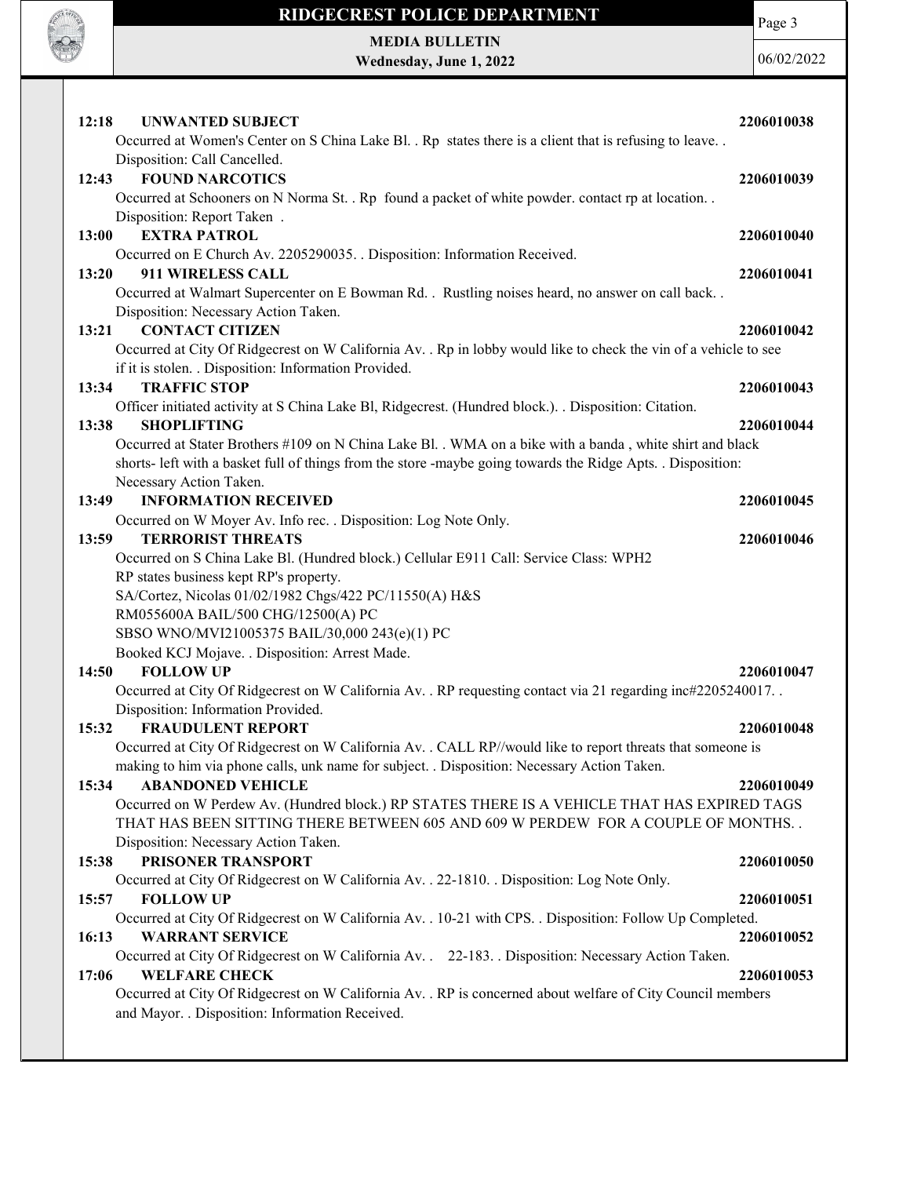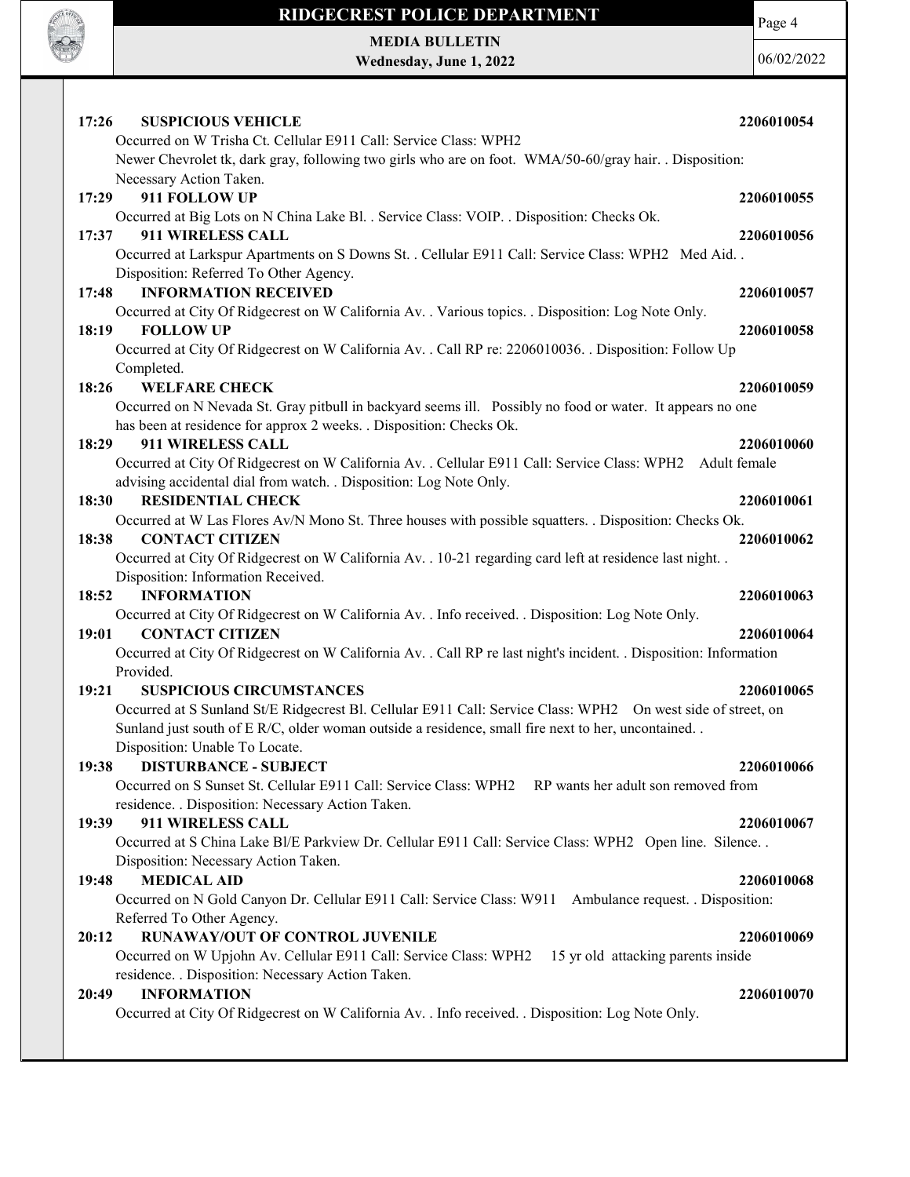

Page 4

MEDIA BULLETIN Wednesday, June 1, 2022

| <b>SUSPICIOUS VEHICLE</b><br>17:26                                                                                                  | 2206010054   |
|-------------------------------------------------------------------------------------------------------------------------------------|--------------|
| Occurred on W Trisha Ct. Cellular E911 Call: Service Class: WPH2                                                                    |              |
| Newer Chevrolet tk, dark gray, following two girls who are on foot. WMA/50-60/gray hair. . Disposition:                             |              |
| Necessary Action Taken.                                                                                                             |              |
| 911 FOLLOW UP<br>17:29                                                                                                              | 2206010055   |
| Occurred at Big Lots on N China Lake Bl. . Service Class: VOIP. . Disposition: Checks Ok.                                           |              |
| 17:37<br>911 WIRELESS CALL                                                                                                          | 2206010056   |
| Occurred at Larkspur Apartments on S Downs St. . Cellular E911 Call: Service Class: WPH2 Med Aid. .                                 |              |
| Disposition: Referred To Other Agency.                                                                                              |              |
| <b>INFORMATION RECEIVED</b><br>17:48                                                                                                | 2206010057   |
| Occurred at City Of Ridgecrest on W California Av. . Various topics. . Disposition: Log Note Only.                                  |              |
| <b>FOLLOW UP</b><br>18:19                                                                                                           | 2206010058   |
| Occurred at City Of Ridgecrest on W California Av. . Call RP re: 2206010036. . Disposition: Follow Up                               |              |
| Completed.                                                                                                                          |              |
| 18:26<br><b>WELFARE CHECK</b>                                                                                                       | 2206010059   |
| Occurred on N Nevada St. Gray pitbull in backyard seems ill. Possibly no food or water. It appears no one                           |              |
| has been at residence for approx 2 weeks. . Disposition: Checks Ok.                                                                 |              |
| 911 WIRELESS CALL<br>18:29                                                                                                          | 2206010060   |
| Occurred at City Of Ridgecrest on W California Av. . Cellular E911 Call: Service Class: WPH2                                        | Adult female |
| advising accidental dial from watch. . Disposition: Log Note Only.                                                                  |              |
| <b>RESIDENTIAL CHECK</b><br>18:30                                                                                                   | 2206010061   |
| Occurred at W Las Flores Av/N Mono St. Three houses with possible squatters. . Disposition: Checks Ok.                              |              |
| 18:38<br><b>CONTACT CITIZEN</b>                                                                                                     | 2206010062   |
| Occurred at City Of Ridgecrest on W California Av. . 10-21 regarding card left at residence last night. .                           |              |
| Disposition: Information Received.                                                                                                  |              |
| <b>INFORMATION</b><br>18:52                                                                                                         | 2206010063   |
| Occurred at City Of Ridgecrest on W California Av. . Info received. . Disposition: Log Note Only.                                   |              |
| <b>CONTACT CITIZEN</b><br>19:01                                                                                                     | 2206010064   |
| Occurred at City Of Ridgecrest on W California Av. . Call RP re last night's incident. . Disposition: Information                   |              |
| Provided.                                                                                                                           |              |
| 19:21<br><b>SUSPICIOUS CIRCUMSTANCES</b>                                                                                            | 2206010065   |
| Occurred at S Sunland St/E Ridgecrest Bl. Cellular E911 Call: Service Class: WPH2 On west side of street, on                        |              |
| Sunland just south of E R/C, older woman outside a residence, small fire next to her, uncontained                                   |              |
| Disposition: Unable To Locate.                                                                                                      |              |
| 19:38 DISTURBANCE - SUBJECT<br>Occurred on S Sunset St. Cellular E911 Call: Service Class: WPH2 RP wants her adult son removed from | 2206010066   |
| residence. . Disposition: Necessary Action Taken.                                                                                   |              |
| 911 WIRELESS CALL<br>19:39                                                                                                          | 2206010067   |
| Occurred at S China Lake Bl/E Parkview Dr. Cellular E911 Call: Service Class: WPH2 Open line. Silence                               |              |
| Disposition: Necessary Action Taken.                                                                                                |              |
| 19:48<br><b>MEDICAL AID</b>                                                                                                         | 2206010068   |
| Occurred on N Gold Canyon Dr. Cellular E911 Call: Service Class: W911 Ambulance request. . Disposition:                             |              |
| Referred To Other Agency.                                                                                                           |              |
| <b>RUNAWAY/OUT OF CONTROL JUVENILE</b><br>20:12                                                                                     | 2206010069   |
| Occurred on W Upjohn Av. Cellular E911 Call: Service Class: WPH2<br>15 yr old attacking parents inside                              |              |
| residence. . Disposition: Necessary Action Taken.                                                                                   |              |
| <b>INFORMATION</b><br>20:49                                                                                                         | 2206010070   |
| Occurred at City Of Ridgecrest on W California Av. . Info received. . Disposition: Log Note Only.                                   |              |
|                                                                                                                                     |              |
|                                                                                                                                     |              |